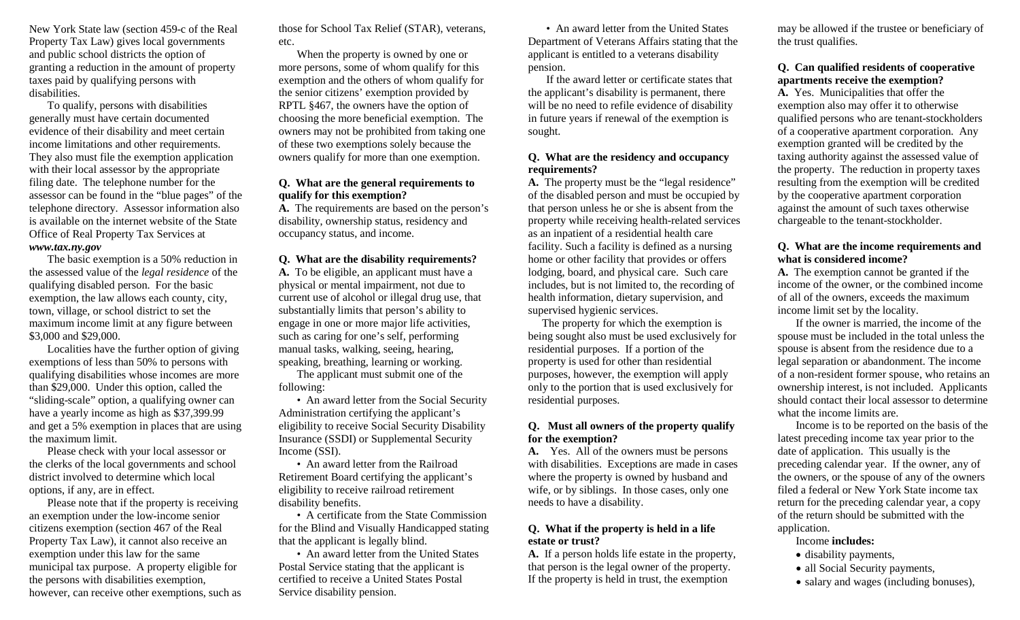New York State law (section 459-c of the Real Property Tax Law) gives local governments and public school districts the option of granting a reduction in the amount of property taxes paid by qualifying persons with disabilities.

To qualify, persons with disabilities generally must have certain documented evidence of their disability and meet certain income limitations and other requirements. They also must file the exemption application with their local assessor by the appropriate filing date. The telephone number for the assessor can be found in the "blue pages" of the telephone directory. Assessor information also is available on the internet website of the State Office of Real Property Tax Services at *www.tax.ny.gov*

The basic exemption is a 50% reduction in the assessed value of the *legal residence* of the qualifying disabled person. For the basic exemption, the law allows each county, city, town, village, or school district to set the maximum income limit at any figure between \$3,000 and \$29,000.

Localities have the further option of giving exemptions of less than 50% to persons with qualifying disabilities whose incomes are more than \$29,000. Under this option, called the "sliding-scale" option, a qualifying owner can have a yearly income as high as \$37,399.99 and get a 5% exemption in places that are using the maximum limit.

Please check with your local assessor or the clerks of the local governments and school district involved to determine which local options, if any, are in effect.

Please note that if the property is receiving an exemption under the low-income senior citizens exemption (section 467 of the Real Property Tax Law), it cannot also receive an exemption under this law for the same municipal tax purpose. A property eligible for the persons with disabilities exemption, however, can receive other exemptions, such as those for School Tax Relief (STAR), veterans, etc.

When the property is owned by one or more persons, some of whom qualify for this exemption and the others of whom qualify for the senior citizens' exemption provided by RPTL §467, the owners have the option of choosing the more beneficial exemption. The owners may not be prohibited from taking one of these two exemptions solely because the owners qualify for more than one exemption.

#### **Q. What are the general requirements to qualify for this exemption?**

**A.** The requirements are based on the person's disability, ownership status, residency and occupancy status, and income.

#### **Q. What are the disability requirements?**

**A.** To be eligible, an applicant must have a physical or mental impairment, not due to current use of alcohol or illegal drug use, that substantially limits that person's ability to engage in one or more major life activities, such as caring for one's self, performing manual tasks, walking, seeing, hearing, speaking, breathing, learning or working.

The applicant must submit one of the following:

• An award letter from the Social Security Administration certifying the applicant's eligibility to receive Social Security Disability Insurance (SSDI) or Supplemental Security Income (SSI).

• An award letter from the Railroad Retirement Board certifying the applicant's eligibility to receive railroad retirement disability benefits.

• A certificate from the State Commission for the Blind and Visually Handicapped stating that the applicant is legally blind.

• An award letter from the United States Postal Service stating that the applicant is certified to receive a United States Postal Service disability pension.

• An award letter from the United States Department of Veterans Affairs stating that the applicant is entitled to a veterans disability pension.

If the award letter or certificate states that the applicant's disability is permanent, there will be no need to refile evidence of disability in future years if renewal of the exemption is sought.

## **Q. What are the residency and occupancy requirements?**

**A.** The property must be the "legal residence" of the disabled person and must be occupied by that person unless he or she is absent from the property while receiving health-related services as an inpatient of a residential health care facility. Such a facility is defined as a nursing home or other facility that provides or offers lodging, board, and physical care. Such care includes, but is not limited to, the recording of health information, dietary supervision, and supervised hygienic services.

 The property for which the exemption is being sought also must be used exclusively for residential purposes. If a portion of the property is used for other than residential purposes, however, the exemption will apply only to the portion that is used exclusively for residential purposes.

## **Q. Must all owners of the property qualify for the exemption?**

**A.** Yes. All of the owners must be persons with disabilities. Exceptions are made in cases where the property is owned by husband and wife, or by siblings. In those cases, only one needs to have a disability.

## **Q. What if the property is held in a life estate or trust?**

**A.** If a person holds life estate in the property, that person is the legal owner of the property. If the property is held in trust, the exemption

may be allowed if the trustee or beneficiary of the trust qualifies.

## **Q. Can qualified residents of cooperative apartments receive the exemption?**

**A.** Yes. Municipalities that offer the exemption also may offer it to otherwise qualified persons who are tenant-stockholders of a cooperative apartment corporation. Any exemption granted will be credited by the taxing authority against the assessed value of the property. The reduction in property taxes resulting from the exemption will be credited by the cooperative apartment corporation against the amount of such taxes otherwise chargeable to the tenant-stockholder.

## **Q. What are the income requirements and what is considered income?**

**A.** The exemption cannot be granted if the income of the owner, or the combined income of all of the owners, exceeds the maximum income limit set by the locality.

If the owner is married, the income of the spouse must be included in the total unless the spouse is absent from the residence due to a legal separation or abandonment. The income of a non-resident former spouse, who retains an ownership interest, is not included. Applicants should contact their local assessor to determine what the income limits are.

Income is to be reported on the basis of the latest preceding income tax year prior to the date of application. This usually is the preceding calendar year. If the owner, any of the owners, or the spouse of any of the owners filed a federal or New York State income tax return for the preceding calendar year, a copy of the return should be submitted with the application.

## Income **includes:**

- disability payments,
- all Social Security payments,
- salary and wages (including bonuses),